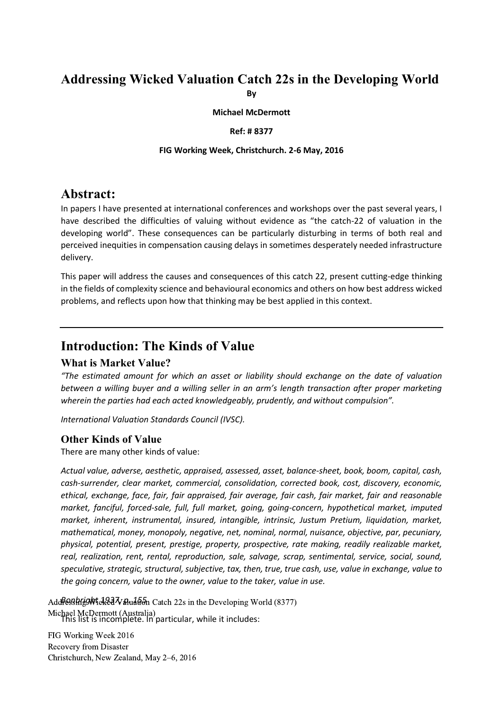### **Addressing Wicked Valuation Catch 22s in the Developing World By**

**Michael McDermott**

#### **Ref: # 8377**

#### **FIG Working Week, Christchurch. 2-6 May, 2016**

### **Abstract:**

In papers I have presented at international conferences and workshops over the past several years, I have described the difficulties of valuing without evidence as "the catch-22 of valuation in the developing world". These consequences can be particularly disturbing in terms of both real and perceived inequities in compensation causing delays in sometimes desperately needed infrastructure delivery.

This paper will address the causes and consequences of this catch 22, present cutting-edge thinking in the fields of complexity science and behavioural economics and others on how best address wicked problems, and reflects upon how that thinking may be best applied in this context.

### **Introduction: The Kinds of Value**

### **What is Market Value?**

*"The estimated amount for which an asset or liability should exchange on the date of valuation between a willing buyer and a willing seller in an arm's length transaction after proper marketing wherein the parties had each acted knowledgeably, prudently, and without compulsion".* 

*International Valuation Standards Council (IVSC).*

### **Other Kinds of Value**

There are many other kinds of value:

*Actual value, adverse, aesthetic, appraised, assessed, asset, balance-sheet, book, boom, capital, cash, cash-surrender, clear market, commercial, consolidation, corrected book, cost, discovery, economic, ethical, exchange, face, fair, fair appraised, fair average, fair cash, fair market, fair and reasonable market, fanciful, forced-sale, full, full market, going, going-concern, hypothetical market, imputed market, inherent, instrumental, insured, intangible, intrinsic, Justum Pretium, liquidation, market, mathematical, money, monopoly, negative, net, nominal, normal, nuisance, objective, par, pecuniary, physical, potential, present, prestige, property, prospective, rate making, readily realizable market, real, realization, rent, rental, reproduction, sale, salvage, scrap, sentimental, service, social, sound, speculative, strategic, structural, subjective, tax, then, true, true cash, use, value in exchange, value to the going concern, value to the owner, value to the taker, value in use.*

Addresshright 123 Valuation Catch 22s in the Developing World (8377) Michael McDermott (Australia)<br>This list is incomplete. In particular, while it includes: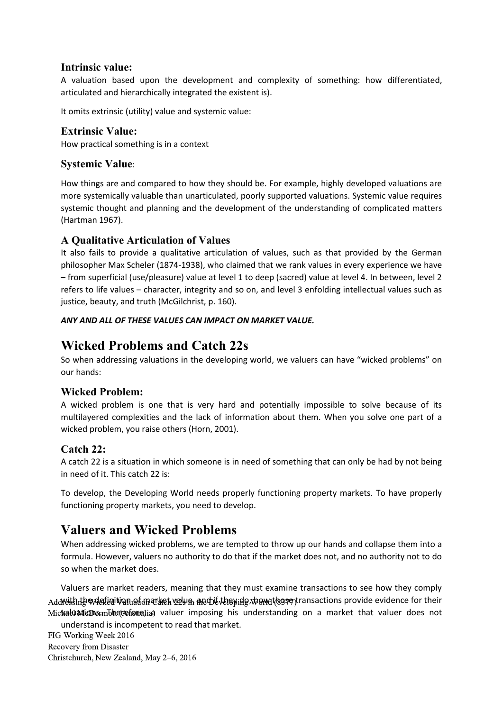### **Intrinsic value:**

A valuation based upon the development and complexity of something: how differentiated, articulated and hierarchically integrated the existent is).

It omits extrinsic (utility) value and systemic value:

### **Extrinsic Value:**

How practical something is in a context

### **Systemic Value**:

How things are and compared to how they should be. For example, highly developed valuations are more systemically valuable than unarticulated, poorly supported valuations. Systemic value requires systemic thought and planning and the development of the understanding of complicated matters (Hartman 1967).

### **A Qualitative Articulation of Values**

It also fails to provide a qualitative articulation of values, such as that provided by the German philosopher Max Scheler (1874-1938), who claimed that we rank values in every experience we have – from superficial (use/pleasure) value at level 1 to deep (sacred) value at level 4. In between, level 2 refers to life values – character, integrity and so on, and level 3 enfolding intellectual values such as justice, beauty, and truth (McGilchrist, p. 160).

### *ANY AND ALL OF THESE VALUES CAN IMPACT ON MARKET VALUE.*

## **Wicked Problems and Catch 22s**

So when addressing valuations in the developing world, we valuers can have "wicked problems" on our hands:

### **Wicked Problem:**

A wicked problem is one that is very hard and potentially impossible to solve because of its multilayered complexities and the lack of information about them. When you solve one part of a wicked problem, you raise others (Horn, 2001).

### **Catch 22:**

A catch 22 is a situation in which someone is in need of something that can only be had by not being in need of it. This catch 22 is:

To develop, the Developing World needs properly functioning property markets. To have properly functioning property markets, you need to develop.

# **Valuers and Wicked Problems**

When addressing wicked problems, we are tempted to throw up our hands and collapse them into a formula. However, valuers no authority to do that if the market does not, and no authority not to do so when the market does.

Valuers are market readers, meaning that they must examine transactions to see how they comply Addreshthe wilefer i wan af market value. And if they den will reserve transactions provide evidence for their Mic**%aluaticDs:**mb**herefone**Jia) valuer imposing his understanding on a market that valuer does not understand is incompetent to read that market.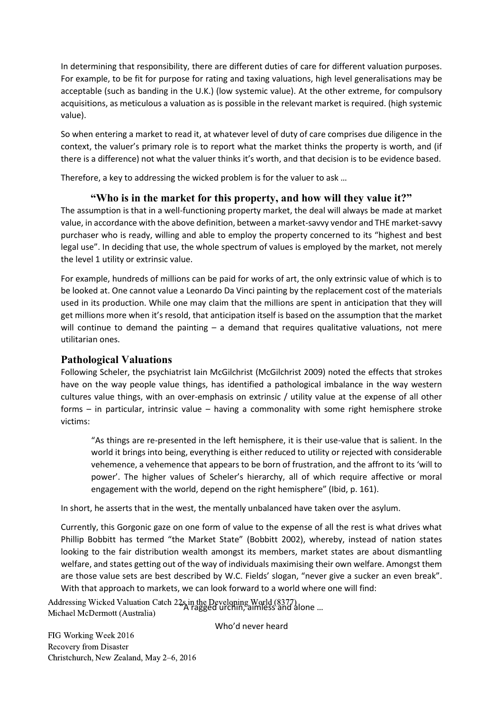In determining that responsibility, there are different duties of care for different valuation purposes. For example, to be fit for purpose for rating and taxing valuations, high level generalisations may be acceptable (such as banding in the U.K.) (low systemic value). At the other extreme, for compulsory acquisitions, as meticulous a valuation as is possible in the relevant market is required. (high systemic value).

So when entering a market to read it, at whatever level of duty of care comprises due diligence in the context, the valuer's primary role is to report what the market thinks the property is worth, and (if there is a difference) not what the valuer thinks it's worth, and that decision is to be evidence based.

Therefore, a key to addressing the wicked problem is for the valuer to ask …

### **"Who is in the market for this property, and how will they value it?"**

The assumption is that in a well-functioning property market, the deal will always be made at market value, in accordance with the above definition, between a market-savvy vendor and THE market-savvy purchaser who is ready, willing and able to employ the property concerned to its "highest and best legal use". In deciding that use, the whole spectrum of values is employed by the market, not merely the level 1 utility or extrinsic value.

For example, hundreds of millions can be paid for works of art, the only extrinsic value of which is to be looked at. One cannot value a Leonardo Da Vinci painting by the replacement cost of the materials used in its production. While one may claim that the millions are spent in anticipation that they will get millions more when it's resold, that anticipation itself is based on the assumption that the market will continue to demand the painting – a demand that requires qualitative valuations, not mere utilitarian ones.

### **Pathological Valuations**

Following Scheler, the psychiatrist Iain McGilchrist (McGilchrist 2009) noted the effects that strokes have on the way people value things, has identified a pathological imbalance in the way western cultures value things, with an over-emphasis on extrinsic / utility value at the expense of all other forms – in particular, intrinsic value – having a commonality with some right hemisphere stroke victims:

"As things are re-presented in the left hemisphere, it is their use-value that is salient. In the world it brings into being, everything is either reduced to utility or rejected with considerable vehemence, a vehemence that appears to be born of frustration, and the affront to its 'will to power'. The higher values of Scheler's hierarchy, all of which require affective or moral engagement with the world, depend on the right hemisphere" (Ibid, p. 161).

In short, he asserts that in the west, the mentally unbalanced have taken over the asylum.

Currently, this Gorgonic gaze on one form of value to the expense of all the rest is what drives what Phillip Bobbitt has termed "the Market State" (Bobbitt 2002), whereby, instead of nation states looking to the fair distribution wealth amongst its members, market states are about dismantling welfare, and states getting out of the way of individuals maximising their own welfare. Amongst them are those value sets are best described by W.C. Fields' slogan, "never give a sucker an even break". With that approach to markets, we can look forward to a world where one will find:

Addressing Wicked Valuation Catch 22s in the Developing World (8377)<br>Misharl McDawortt (Australia) Michael McDermott (Australia)

Who'd never heard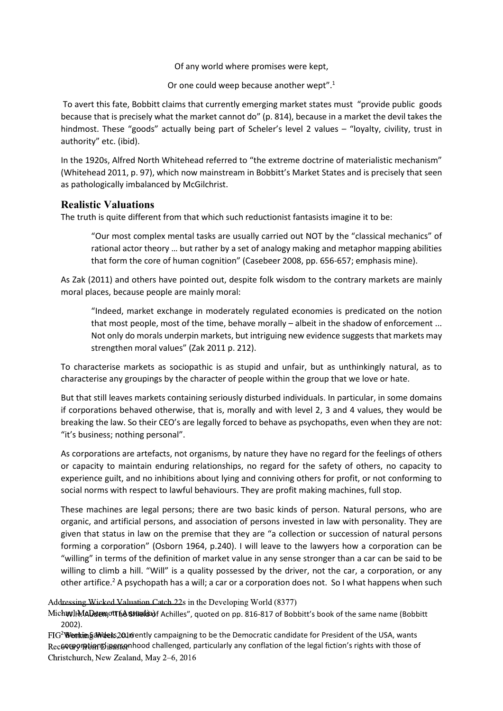Of any world where promises were kept,

Or one could weep because another wept".<sup>1</sup>

To avert this fate, Bobbitt claims that currently emerging market states must "provide public goods because that is precisely what the market cannot do" (p. 814), because in a market the devil takes the hindmost. These "goods" actually being part of Scheler's level 2 values – "loyalty, civility, trust in authority" etc. (ibid).

In the 1920s, Alfred North Whitehead referred to "the extreme doctrine of materialistic mechanism" (Whitehead 2011, p. 97), which now mainstream in Bobbitt's Market States and is precisely that seen as pathologically imbalanced by McGilchrist.

### **Realistic Valuations**

The truth is quite different from that which such reductionist fantasists imagine it to be:

"Our most complex mental tasks are usually carried out NOT by the "classical mechanics" of rational actor theory … but rather by a set of analogy making and metaphor mapping abilities that form the core of human cognition" (Casebeer 2008, pp. 656-657; emphasis mine).

As Zak (2011) and others have pointed out, despite folk wisdom to the contrary markets are mainly moral places, because people are mainly moral:

"Indeed, market exchange in moderately regulated economies is predicated on the notion that most people, most of the time, behave morally – albeit in the shadow of enforcement ... Not only do morals underpin markets, but intriguing new evidence suggests that markets may strengthen moral values" (Zak 2011 p. 212).

To characterise markets as sociopathic is as stupid and unfair, but as unthinkingly natural, as to characterise any groupings by the character of people within the group that we love or hate.

But that still leaves markets containing seriously disturbed individuals. In particular, in some domains if corporations behaved otherwise, that is, morally and with level 2, 3 and 4 values, they would be breaking the law. So their CEO's are legally forced to behave as psychopaths, even when they are not: "it's business; nothing personal".

As corporations are artefacts, not organisms, by nature they have no regard for the feelings of others or capacity to maintain enduring relationships, no regard for the safety of others, no capacity to experience guilt, and no inhibitions about lying and conniving others for profit, or not conforming to social norms with respect to lawful behaviours. They are profit making machines, full stop.

These machines are legal persons; there are two basic kinds of person. Natural persons, who are organic, and artificial persons, and association of persons invested in law with personality. They are given that status in law on the premise that they are "a collection or succession of natural persons forming a corporation" (Osborn 1964, p.240). I will leave to the lawyers how a corporation can be "willing" in terms of the definition of market value in any sense stronger than a car can be said to be willing to climb a hill. "Will" is a quality possessed by the driver, not the car, a corporation, or any other artifice.<sup>2</sup> A psychopath has a will; a car or a corporation does not. So I what happens when such

Addressing Wicked Valuation Catch 22s in the Developing World (8377)

MichwllMADdemotthAShielda)f Achilles", quoted on pp. 816-817 of Bobbitt's book of the same name (Bobbitt 2002).

FIG<sup>2</sup> Wenkin §a Weeks 2016 ently campaigning to be the Democratic candidate for President of the USA, wants Rec6©ርଡ଼ଫ Thion Dines tenhood challenged, particularly any conflation of the legal fiction's rights with those of Christchurch, New Zealand, May 2–6, 2016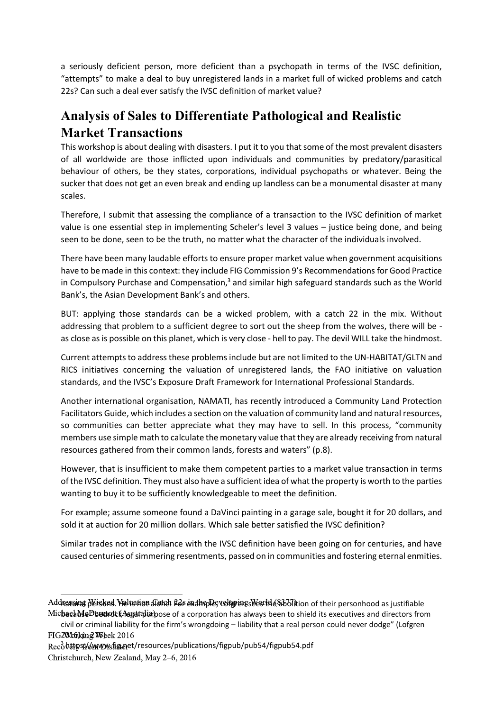a seriously deficient person, more deficient than a psychopath in terms of the IVSC definition, "attempts" to make a deal to buy unregistered lands in a market full of wicked problems and catch 22s? Can such a deal ever satisfy the IVSC definition of market value?

# **Analysis of Sales to Differentiate Pathological and Realistic Market Transactions**

This workshop is about dealing with disasters. I put it to you that some of the most prevalent disasters of all worldwide are those inflicted upon individuals and communities by predatory/parasitical behaviour of others, be they states, corporations, individual psychopaths or whatever. Being the sucker that does not get an even break and ending up landless can be a monumental disaster at many scales.

Therefore, I submit that assessing the compliance of a transaction to the IVSC definition of market value is one essential step in implementing Scheler's level 3 values – justice being done, and being seen to be done, seen to be the truth, no matter what the character of the individuals involved.

There have been many laudable efforts to ensure proper market value when government acquisitions have to be made in this context: they include FIG Commission 9's Recommendations for Good Practice in Compulsory Purchase and Compensation, $3$  and similar high safeguard standards such as the World Bank's, the Asian Development Bank's and others.

BUT: applying those standards can be a wicked problem, with a catch 22 in the mix. Without addressing that problem to a sufficient degree to sort out the sheep from the wolves, there will be as close as is possible on this planet, which is very close - hell to pay. The devil WILL take the hindmost.

Current attempts to address these problems include but are not limited to the UN-HABITAT/GLTN and RICS initiatives concerning the valuation of unregistered lands, the FAO initiative on valuation standards, and the IVSC's Exposure Draft Framework for International Professional Standards.

Another international organisation, NAMATI, has recently introduced a Community Land Protection Facilitators Guide, which includes a section on the valuation of community land and natural resources, so communities can better appreciate what they may have to sell. In this process, "community members use simple math to calculate the monetary value that they are already receiving from natural resources gathered from their common lands, forests and waters" (p.8).

However, that is insufficient to make them competent parties to a market value transaction in terms of the IVSC definition. They must also have a sufficient idea of what the property is worth to the parties wanting to buy it to be sufficiently knowledgeable to meet the definition.

For example; assume someone found a DaVinci painting in a garage sale, bought it for 20 dollars, and sold it at auction for 20 million dollars. Which sale better satisfied the IVSC definition?

Similar trades not in compliance with the IVSC definition have been going on for centuries, and have caused centuries of simmering resentments, passed on in communities and fostering eternal enmities.

civil or criminal liability for the firm's wrongdoing – liability that a real person could never dodge" (Lofgren FIG 2020 Gokping 706 bek 2016

 $\overline{a}$ 

Addrassina Wisked. Hel អោយ Adrel Pas ex thp Pe; el prins West He & Milion of their personhood as justifiable MichechMeDheunotk Australin pose of a corporation has always been to shield its executives and directors from

Recoืbetpsf/omvoystig.oet/resources/publications/figpub/pub54/figpub54.pdf

Christchurch, New Zealand, May 2–6, 2016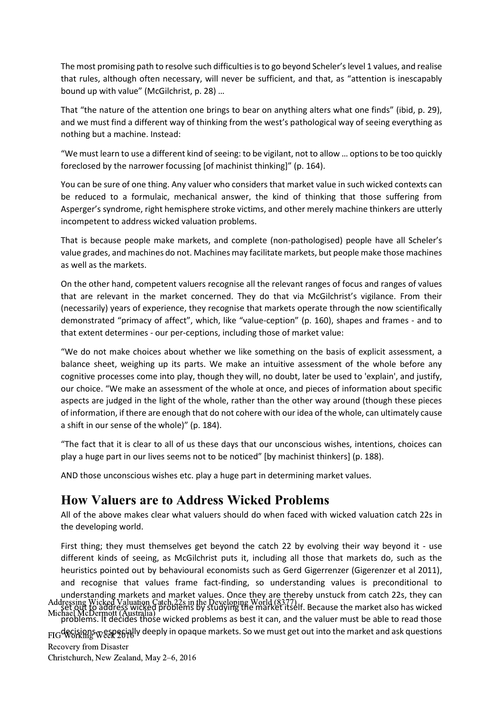The most promising path to resolve such difficulties is to go beyond Scheler's level 1 values, and realise that rules, although often necessary, will never be sufficient, and that, as "attention is inescapably bound up with value" (McGilchrist, p. 28) …

That "the nature of the attention one brings to bear on anything alters what one finds" (ibid, p. 29), and we must find a different way of thinking from the west's pathological way of seeing everything as nothing but a machine. Instead:

"We must learn to use a different kind of seeing: to be vigilant, not to allow … options to be too quickly foreclosed by the narrower focussing [of machinist thinking]" (p. 164).

You can be sure of one thing. Any valuer who considers that market value in such wicked contexts can be reduced to a formulaic, mechanical answer, the kind of thinking that those suffering from Asperger's syndrome, right hemisphere stroke victims, and other merely machine thinkers are utterly incompetent to address wicked valuation problems.

That is because people make markets, and complete (non-pathologised) people have all Scheler's value grades, and machines do not. Machines may facilitate markets, but people make those machines as well as the markets.

On the other hand, competent valuers recognise all the relevant ranges of focus and ranges of values that are relevant in the market concerned. They do that via McGilchrist's vigilance. From their (necessarily) years of experience, they recognise that markets operate through the now scientifically demonstrated "primacy of affect", which, like "value-ception" (p. 160), shapes and frames - and to that extent determines - our per-ceptions, including those of market value:

"We do not make choices about whether we like something on the basis of explicit assessment, a balance sheet, weighing up its parts. We make an intuitive assessment of the whole before any cognitive processes come into play, though they will, no doubt, later be used to 'explain', and justify, our choice. "We make an assessment of the whole at once, and pieces of information about specific aspects are judged in the light of the whole, rather than the other way around (though these pieces of information, if there are enough that do not cohere with our idea of the whole, can ultimately cause a shift in our sense of the whole)" (p. 184).

"The fact that it is clear to all of us these days that our unconscious wishes, intentions, choices can play a huge part in our lives seems not to be noticed" [by machinist thinkers] (p. 188).

AND those unconscious wishes etc. play a huge part in determining market values.

## **How Valuers are to Address Wicked Problems**

All of the above makes clear what valuers should do when faced with wicked valuation catch 22s in the developing world.

First thing; they must themselves get beyond the catch 22 by evolving their way beyond it - use different kinds of seeing, as McGilchrist puts it, including all those that markets do, such as the heuristics pointed out by behavioural economists such as Gerd Gigerrenzer (Gigerenzer et al 2011), and recognise that values frame fact-finding, so understanding values is preconditional to understanding markets and market values. Once they are thereby unstuck from catch 22s, they can set out to address wicked problems by studying the market itself. Because the market also has wicked problems. It decides those wicked problems as best it can, and the valuer must be able to read those  $_{\rm FIG}$ d $_{\rm AGN}$ g $_{\rm W}$ g $_{\rm SE}$ p $_{\rm G}$ i $_{\rm G}$ lly deeply in opaque markets. So we must get out into the market and ask questions Addressing Wicked Valuation Catch 22s in the Developing World (8377) Michael McDermott (Australia) Recovery from Disaster Christchurch, New Zealand, May 2–6, 2016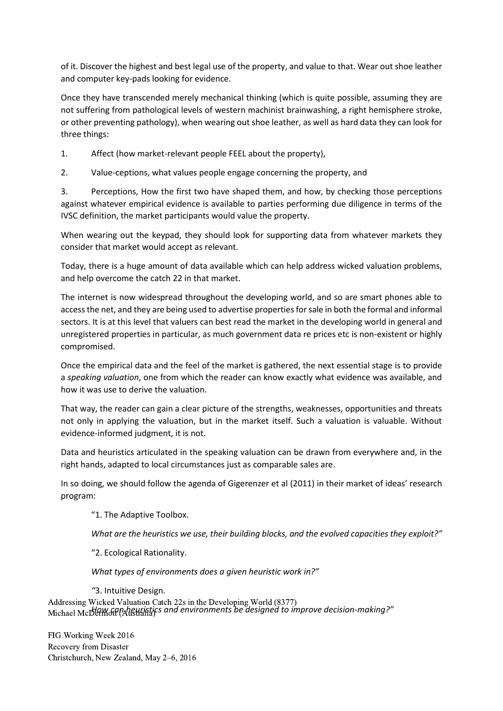of it. Discover the highest and best legal use of the property, and value to that. Wear out shoe leather and computer key-pads looking for evidence.

Once they have transcended merely mechanical thinking (which is quite possible, assuming they are not suffering from pathological levels of western machinist brainwashing, a right hemisphere stroke, or other preventing pathology), when wearing out shoe leather, as well as hard data they can look for three things:

1. Affect (how market-relevant people FEEL about the property),

2. Value-ceptions, what values people engage concerning the property, and

3. Perceptions, How the first two have shaped them, and how, by checking those perceptions against whatever empirical evidence is available to parties performing due diligence in terms of the IVSC definition, the market participants would value the property.

When wearing out the keypad, they should look for supporting data from whatever markets they consider that market would accept as relevant.

Today, there is a huge amount of data available which can help address wicked valuation problems, and help overcome the catch 22 in that market.

The internet is now widespread throughout the developing world, and so are smart phones able to access the net, and they are being used to advertise properties for sale in both the formal and informal sectors. It is at this level that valuers can best read the market in the developing world in general and unregistered properties in particular, as much government data re prices etc is non-existent or highly compromised.

Once the empirical data and the feel of the market is gathered, the next essential stage is to provide a *speaking valuation*, one from which the reader can know exactly what evidence was available, and how it was use to derive the valuation.

That way, the reader can gain a clear picture of the strengths, weaknesses, opportunities and threats not only in applying the valuation, but in the market itself. Such a valuation is valuable. Without evidence-informed judgment, it is not.

Data and heuristics articulated in the speaking valuation can be drawn from everywhere and, in the right hands, adapted to local circumstances just as comparable sales are.

In so doing, we should follow the agenda of Gigerenzer et al (2011) in their market of ideas' research program:

"1. The Adaptive Toolbox.

*What are the heuristics we use, their building blocks, and the evolved capacities they exploit?"*

"2. Ecological Rationality.

*What types of environments does a given heuristic work in?"*

*"*3. Intuitive Design. *How can heuristics and environments be designed to improve decision-making?"* Addressing Wicked Valuation Catch 22s in the Developing World (8377) Michael McD<del>ermott</del> (Al<del>istrali</del>a)